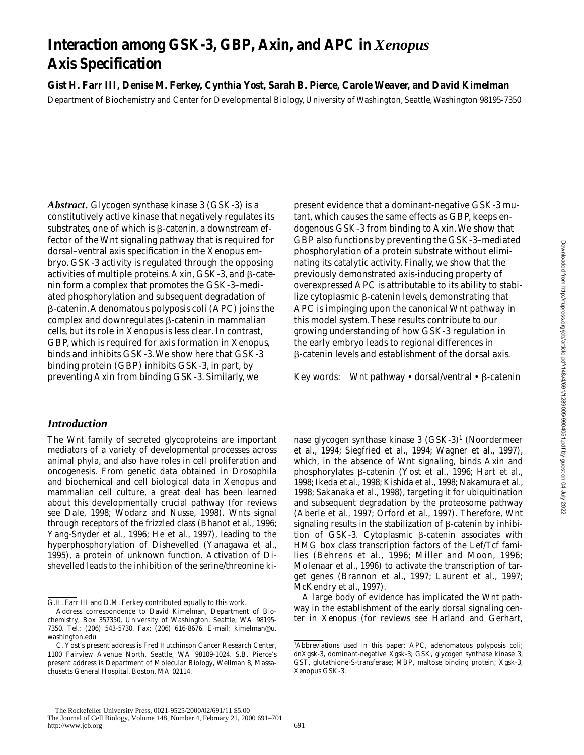# **Interaction among GSK-3, GBP, Axin, and APC in** *Xenopus* **Axis Specification**

**Gist H. Farr III, Denise M. Ferkey, Cynthia Yost, Sarah B. Pierce, Carole Weaver, and David Kimelman** Department of Biochemistry and Center for Developmental Biology, University of Washington, Seattle, Washington 98195-7350

*Abstract.* Glycogen synthase kinase 3 (GSK-3) is a constitutively active kinase that negatively regulates its substrates, one of which is  $\beta$ -catenin, a downstream effector of the Wnt signaling pathway that is required for dorsal–ventral axis specification in the *Xenopus* embryo. GSK-3 activity is regulated through the opposing activities of multiple proteins. Axin, GSK-3, and  $\beta$ -catenin form a complex that promotes the GSK-3–mediated phosphorylation and subsequent degradation of b-catenin. Adenomatous polyposis coli (APC) joins the complex and downregulates  $\beta$ -catenin in mammalian cells, but its role in *Xenopus* is less clear. In contrast, GBP, which is required for axis formation in *Xenopus*, binds and inhibits GSK-3. We show here that GSK-3 binding protein (GBP) inhibits GSK-3, in part, by preventing Axin from binding GSK-3. Similarly, we

# *Introduction*

The Wnt family of secreted glycoproteins are important mediators of a variety of developmental processes across animal phyla, and also have roles in cell proliferation and oncogenesis. From genetic data obtained in *Drosophila* and biochemical and cell biological data in *Xenopus* and mammalian cell culture, a great deal has been learned about this developmentally crucial pathway (for reviews see Dale, 1998; Wodarz and Nusse, 1998). Wnts signal through receptors of the frizzled class (Bhanot et al., 1996; Yang-Snyder et al., 1996; He et al., 1997), leading to the hyperphosphorylation of Dishevelled (Yanagawa et al., 1995), a protein of unknown function. Activation of Dishevelled leads to the inhibition of the serine/threonine kipresent evidence that a dominant-negative GSK-3 mutant, which causes the same effects as GBP, keeps endogenous GSK-3 from binding to Axin. We show that GBP also functions by preventing the GSK-3–mediated phosphorylation of a protein substrate without eliminating its catalytic activity. Finally, we show that the previously demonstrated axis-inducing property of overexpressed APC is attributable to its ability to stabilize cytoplasmic  $\beta$ -catenin levels, demonstrating that APC is impinging upon the canonical Wnt pathway in this model system. These results contribute to our growing understanding of how GSK-3 regulation in the early embryo leads to regional differences in b-catenin levels and establishment of the dorsal axis.

Key words: Wnt pathway  $\cdot$  dorsal/ventral  $\cdot$   $\beta$ -catenin

nase glycogen synthase kinase 3 (GSK-3)<sup>1</sup> (Noordermeer et al., 1994; Siegfried et al., 1994; Wagner et al., 1997), which, in the absence of Wnt signaling, binds Axin and phosphorylates b-catenin (Yost et al., 1996; Hart et al., 1998; Ikeda et al., 1998; Kishida et al., 1998; Nakamura et al., 1998; Sakanaka et al., 1998), targeting it for ubiquitination and subsequent degradation by the proteosome pathway (Aberle et al., 1997; Orford et al., 1997). Therefore, Wnt signaling results in the stabilization of  $\beta$ -catenin by inhibition of GSK-3. Cytoplasmic  $\beta$ -catenin associates with HMG box class transcription factors of the Lef/Tcf families (Behrens et al., 1996; Miller and Moon, 1996; Molenaar et al., 1996) to activate the transcription of target genes (Brannon et al., 1997; Laurent et al., 1997; McKendry et al., 1997).

A large body of evidence has implicated the Wnt pathway in the establishment of the early dorsal signaling center in *Xenopus* (for reviews see Harland and Gerhart,

G.H. Farr III and D.M. Ferkey contributed equally to this work.

Address correspondence to David Kimelman, Department of Biochemistry, Box 357350, University of Washington, Seattle, WA 98195- 7350. Tel.: (206) 543-5730. Fax: (206) 616-8676. E-mail: kimelman@u. washington.edu

C. Yost's present address is Fred Hutchinson Cancer Research Center, 1100 Fairview Avenue North, Seattle, WA 98109-1024. S.B. Pierce's present address is Department of Molecular Biology, Wellman 8, Massachusetts General Hospital, Boston, MA 02114.

<sup>1</sup> *Abbreviations used in this paper:* APC, adenomatous polyposis coli; dnXgsk-3, dominant-negative Xgsk-3; GSK, glycogen synthase kinase 3; GST, glutathione-S-transferase; MBP, maltose binding protein; Xgsk-3, *Xenopus* GSK-3.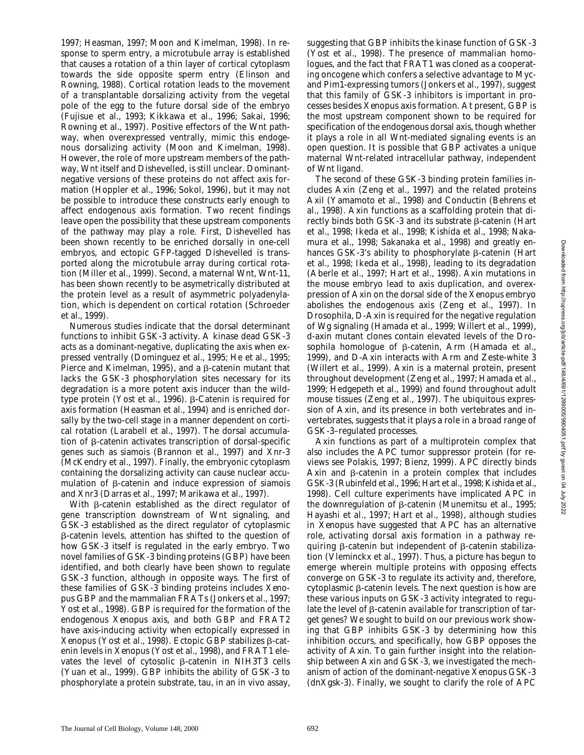1997; Heasman, 1997; Moon and Kimelman, 1998). In response to sperm entry, a microtubule array is established that causes a rotation of a thin layer of cortical cytoplasm towards the side opposite sperm entry (Elinson and Rowning, 1988). Cortical rotation leads to the movement of a transplantable dorsalizing activity from the vegetal pole of the egg to the future dorsal side of the embryo (Fujisue et al., 1993; Kikkawa et al., 1996; Sakai, 1996; Rowning et al., 1997). Positive effectors of the Wnt pathway, when overexpressed ventrally, mimic this endogenous dorsalizing activity (Moon and Kimelman, 1998). However, the role of more upstream members of the pathway, Wnt itself and Dishevelled, is still unclear. Dominantnegative versions of these proteins do not affect axis formation (Hoppler et al., 1996; Sokol, 1996), but it may not be possible to introduce these constructs early enough to affect endogenous axis formation. Two recent findings leave open the possibility that these upstream components of the pathway may play a role. First, Dishevelled has been shown recently to be enriched dorsally in one-cell embryos, and ectopic GFP-tagged Dishevelled is transported along the microtubule array during cortical rotation (Miller et al., 1999). Second, a maternal Wnt, Wnt-11, has been shown recently to be asymetrically distributed at the protein level as a result of asymmetric polyadenylation, which is dependent on cortical rotation (Schroeder et al., 1999).

Numerous studies indicate that the dorsal determinant functions to inhibit GSK-3 activity. A kinase dead GSK-3 acts as a dominant-negative, duplicating the axis when expressed ventrally (Dominguez et al., 1995; He et al., 1995; Pierce and Kimelman, 1995), and a  $\beta$ -catenin mutant that lacks the GSK-3 phosphorylation sites necessary for its degradation is a more potent axis inducer than the wildtype protein (Yost et al., 1996).  $\beta$ -Catenin is required for axis formation (Heasman et al., 1994) and is enriched dorsally by the two-cell stage in a manner dependent on cortical rotation (Larabell et al., 1997). The dorsal accumulation of β-catenin activates transcription of dorsal-specific genes such as *siamois* (Brannon et al., 1997) and *Xnr-3* (McKendry et al., 1997). Finally, the embryonic cytoplasm containing the dorsalizing activity can cause nuclear accumulation of b-catenin and induce expression of *siamois* and *Xnr3* (Darras et al., 1997; Marikawa et al., 1997).

With  $\beta$ -catenin established as the direct regulator of gene transcription downstream of Wnt signaling, and GSK-3 established as the direct regulator of cytoplasmic b-catenin levels, attention has shifted to the question of how GSK-3 itself is regulated in the early embryo. Two novel families of GSK-3 binding proteins (GBP) have been identified, and both clearly have been shown to regulate GSK-3 function, although in opposite ways. The first of these families of GSK-3 binding proteins includes *Xenopus* GBP and the mammalian FRATs (Jonkers et al., 1997; Yost et al., 1998). GBP is required for the formation of the endogenous *Xenopus* axis, and both GBP and FRAT2 have axis-inducing activity when ectopically expressed in  $Xenopus$  (Yost et al., 1998). Ectopic GBP stabilizes  $\beta$ -catenin levels in *Xenopus* (Yost et al., 1998), and FRAT1 elevates the level of cytosolic  $\beta$ -catenin in NIH3T3 cells (Yuan et al., 1999). GBP inhibits the ability of GSK-3 to phosphorylate a protein substrate, tau, in an in vivo assay, suggesting that GBP inhibits the kinase function of GSK-3 (Yost et al., 1998). The presence of mammalian homologues, and the fact that *FRAT1* was cloned as a cooperating oncogene which confers a selective advantage to Mycand Pim1-expressing tumors (Jonkers et al., 1997), suggest that this family of GSK-3 inhibitors is important in processes besides *Xenopus* axis formation. At present, GBP is the most upstream component shown to be required for specification of the endogenous dorsal axis, though whether it plays a role in all Wnt-mediated signaling events is an open question. It is possible that GBP activates a unique maternal Wnt-related intracellular pathway, independent of Wnt ligand.

The second of these GSK-3 binding protein families includes Axin (Zeng et al., 1997) and the related proteins Axil (Yamamoto et al., 1998) and Conductin (Behrens et al., 1998). Axin functions as a scaffolding protein that directly binds both GSK-3 and its substrate  $\beta$ -catenin (Hart et al., 1998; Ikeda et al., 1998; Kishida et al., 1998; Nakamura et al., 1998; Sakanaka et al., 1998) and greatly enhances GSK-3's ability to phosphorylate  $\beta$ -catenin (Hart et al., 1998; Ikeda et al., 1998), leading to its degradation (Aberle et al., 1997; Hart et al., 1998). *Axin* mutations in the mouse embryo lead to axis duplication, and overexpression of Axin on the dorsal side of the *Xenopus* embryo abolishes the endogenous axis (Zeng et al., 1997). In *Drosophila*, D-Axin is required for the negative regulation of Wg signaling (Hamada et al., 1999; Willert et al., 1999), *d-axin* mutant clones contain elevated levels of the *Drosophila* homologue of b-catenin, Arm (Hamada et al., 1999), and D-Axin interacts with Arm and Zeste-white 3 (Willert et al., 1999). Axin is a maternal protein, present throughout development (Zeng et al., 1997; Hamada et al., 1999; Hedgepeth et al., 1999) and found throughout adult mouse tissues (Zeng et al., 1997). The ubiquitous expression of Axin, and its presence in both vertebrates and invertebrates, suggests that it plays a role in a broad range of GSK-3–regulated processes.

Axin functions as part of a multiprotein complex that also includes the APC tumor suppressor protein (for reviews see Polakis, 1997; Bienz, 1999). APC directly binds Axin and  $\beta$ -catenin in a protein complex that includes GSK-3 (Rubinfeld et al., 1996; Hart et al., 1998; Kishida et al., 1998). Cell culture experiments have implicated APC in the downregulation of  $\beta$ -catenin (Munemitsu et al., 1995; Hayashi et al., 1997; Hart et al., 1998), although studies in *Xenopus* have suggested that APC has an alternative role, activating dorsal axis formation in a pathway requiring  $\beta$ -catenin but independent of  $\beta$ -catenin stabilization (Vleminckx et al., 1997). Thus, a picture has begun to emerge wherein multiple proteins with opposing effects converge on GSK-3 to regulate its activity and, therefore, cytoplasmic  $\beta$ -catenin levels. The next question is how are these various inputs on GSK-3 activity integrated to regulate the level of  $\beta$ -catenin available for transcription of target genes? We sought to build on our previous work showing that GBP inhibits GSK-3 by determining how this inhibition occurs, and specifically, how GBP opposes the activity of Axin. To gain further insight into the relationship between Axin and GSK-3, we investigated the mechanism of action of the dominant-negative *Xenopus* GSK-3 (dnXgsk-3). Finally, we sought to clarify the role of APC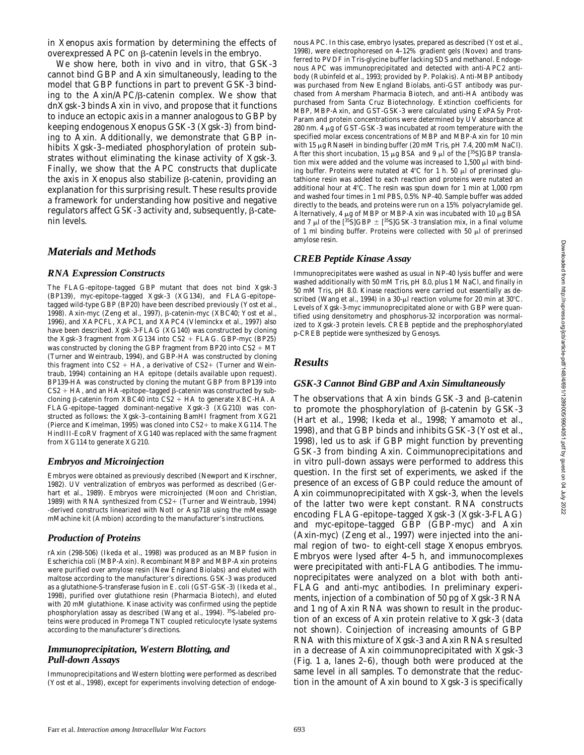in *Xenopus* axis formation by determining the effects of overexpressed APC on  $\beta$ -catenin levels in the embryo.

We show here, both in vivo and in vitro, that GSK-3 cannot bind GBP and Axin simultaneously, leading to the model that GBP functions in part to prevent GSK-3 binding to the  $Axin/APC/B-catenin$  complex. We show that dnXgsk-3 binds Axin in vivo, and propose that it functions to induce an ectopic axis in a manner analogous to GBP by keeping endogenous *Xenopus* GSK-3 (Xgsk-3) from binding to Axin. Additionally, we demonstrate that GBP inhibits Xgsk-3–mediated phosphorylation of protein substrates without eliminating the kinase activity of Xgsk-3. Finally, we show that the APC constructs that duplicate the axis in *Xenopus* also stabilize β-catenin, providing an explanation for this surprising result. These results provide a framework for understanding how positive and negative regulators affect GSK-3 activity and, subsequently,  $\beta$ -catenin levels.

# *Materials and Methods*

#### *RNA Expression Constructs*

The FLAG-epitope–tagged GBP mutant that does not bind Xgsk-3 (BP139), myc-epitope–tagged Xgsk-3 (XG134), and FLAG-epitope– tagged wild-type GBP (BP20) have been described previously (Yost et al., 1998). Axin-myc (Zeng et al., 1997), b-catenin-myc (XBC40; Yost et al., 1996), and XAPCFL, XAPC1, and XAPC4 (Vleminckx et al., 1997) also have been described. Xgsk-3-FLAG (XG140) was constructed by cloning the Xgsk-3 fragment from XG134 into  $CS2 + FLAG$ . GBP-myc (BP25) was constructed by cloning the GBP fragment from BP20 into  $CS2 + MT$ (Turner and Weintraub, 1994), and GBP-HA was constructed by cloning this fragment into  $CS2 + HA$ , a derivative of  $CS2+$  (Turner and Weintraub, 1994) containing an HA epitope (details available upon request). BP139-HA was constructed by cloning the mutant GBP from BP139 into  $CS2+HA,$  and an HA-epitope–tagged  $\beta$  -catenin was constructed by subcloning  $\beta$ -catenin from XBC40 into CS2 + HA to generate XBC-HA. A FLAG-epitope–tagged dominant-negative Xgsk-3 (XG210) was constructed as follows: the Xgsk-3–containing BamHI fragment from XG21 (Pierce and Kimelman, 1995) was cloned into  $CS2+$  to make XG114. The HindIII-EcoRV fragment of XG140 was replaced with the same fragment from XG114 to generate XG210.

#### *Embryos and Microinjection*

Embryos were obtained as previously described (Newport and Kirschner, 1982). UV ventralization of embryos was performed as described (Gerhart et al., 1989). Embryos were microinjected (Moon and Christian, 1989) with RNA synthesized from  $CS2+$  (Turner and Weintraub, 1994) -derived constructs linearized with NotI or Asp718 using the mMessage mMachine kit (Ambion) according to the manufacturer's instructions.

#### *Production of Proteins*

rAxin (298-506) (Ikeda et al., 1998) was produced as an MBP fusion in *Escherichia coli* (MBP-Axin). Recombinant MBP and MBP-Axin proteins were purified over amylose resin (New England Biolabs) and eluted with maltose according to the manufacturer's directions. GSK-3 was produced as a glutathione-S-transferase fusion in *E*. *coli* (GST-GSK-3) (Ikeda et al., 1998), purified over glutathione resin (Pharmacia Biotech), and eluted with 20 mM glutathione. Kinase activity was confirmed using the peptide phosphorylation assay as described (Wang et al., 1994). 35S-labeled proteins were produced in Promega TNT coupled reticulocyte lysate systems according to the manufacturer's directions.

#### *Immunoprecipitation, Western Blotting, and Pull-down Assays*

Immunoprecipitations and Western blotting were performed as described (Yost et al., 1998), except for experiments involving detection of endogenous APC. In this case, embryo lysates, prepared as described (Yost et al., 1998), were electrophoresed on 4–12% gradient gels (Novex) and transferred to PVDF in Tris-glycine buffer lacking SDS and methanol. Endogenous APC was immunoprecipitated and detected with anti-APC2 antibody (Rubinfeld et al., 1993; provided by P. Polakis). Anti-MBP antibody was purchased from New England Biolabs, anti-GST antibody was purchased from Amersham Pharmacia Biotech, and anti-HA antibody was purchased from Santa Cruz Biotechnology. Extinction coefficients for MBP, MBP-Axin, and GST-GSK-3 were calculated using ExPASy Prot-Param and protein concentrations were determined by UV absorbance at 280 nm. 4  $\mu$ g of GST-GSK-3 was incubated at room temperature with the specified molar excess concentrations of MBP and MBP-Axin for 10 min with 15 µg RNaseH in binding buffer (20 mM Tris, pH 7.4, 200 mM NaCl). After this short incubation, 15  $\mu$ g BSA and 9  $\mu$ l of the [<sup>35</sup>S]GBP translation mix were added and the volume was increased to  $1,500 \mu l$  with binding buffer. Proteins were nutated at  $4^{\circ}C$  for 1 h. 50  $\mu$ l of prerinsed glutathione resin was added to each reaction and proteins were nutated an additional hour at  $4^{\circ}$ C. The resin was spun down for 1 min at 1,000 rpm and washed four times in 1 ml PBS, 0.5% NP-40. Sample buffer was added directly to the beads, and proteins were run on a 15% polyacrylamide gel. Alternatively, 4  $\mu$ g of MBP or MBP-Axin was incubated with 10  $\mu$ g BSA and 7  $\mu$ l of the [ $^{35}$ S]GBP  $\pm$  [ $^{35}$ S]GSK-3 translation mix, in a final volume of 1 ml binding buffer. Proteins were collected with 50  $\mu$ l of prerinsed amylose resin.

## *CREB Peptide Kinase Assay*

Immunoprecipitates were washed as usual in NP-40 lysis buffer and were washed additionally with 50 mM Tris, pH 8.0, plus 1 M NaCl, and finally in 50 mM Tris, pH 8.0. Kinase reactions were carried out essentially as described (Wang et al., 1994) in a 30- $\mu$ l reaction volume for 20 min at 30°C. Levels of Xgsk-3-myc immunoprecipitated alone or with GBP were quantified using densitometry and phosphorus-32 incorporation was normalized to Xgsk-3 protein levels. CREB peptide and the prephosphorylated p-CREB peptide were synthesized by Genosys.

# *Results*

#### *GSK-3 Cannot Bind GBP and Axin Simultaneously*

The observations that Axin binds GSK-3 and  $\beta$ -catenin to promote the phosphorylation of  $\beta$ -catenin by GSK-3 (Hart et al., 1998; Ikeda et al., 1998; Yamamoto et al., 1998), and that GBP binds and inhibits GSK-3 (Yost et al., 1998), led us to ask if GBP might function by preventing GSK-3 from binding Axin. Coimmunoprecipitations and in vitro pull-down assays were performed to address this question. In the first set of experiments, we asked if the presence of an excess of GBP could reduce the amount of Axin coimmunoprecipitated with Xgsk-3, when the levels of the latter two were kept constant. RNA constructs encoding FLAG-epitope–tagged Xgsk-3 (*Xgsk-3-FLAG*) and myc-epitope–tagged GBP (*GBP-myc*) and Axin (*Axin-myc*) (Zeng et al., 1997) were injected into the animal region of two- to eight-cell stage *Xenopus* embryos. Embryos were lysed after 4–5 h, and immunocomplexes were precipitated with anti-FLAG antibodies. The immunoprecipitates were analyzed on a blot with both anti-FLAG and anti-myc antibodies. In preliminary experiments, injection of a combination of 50 pg of *Xgsk-3* RNA and 1 ng of *Axin* RNA was shown to result in the production of an excess of Axin protein relative to Xgsk-3 (data not shown). Coinjection of increasing amounts of *GBP* RNA with this mixture of *Xgsk-3* and *Axin* RNAs resulted in a decrease of Axin coimmunoprecipitated with Xgsk-3 (Fig. 1 a, lanes 2–6), though both were produced at the same level in all samples. To demonstrate that the reduction in the amount of Axin bound to Xgsk-3 is specifically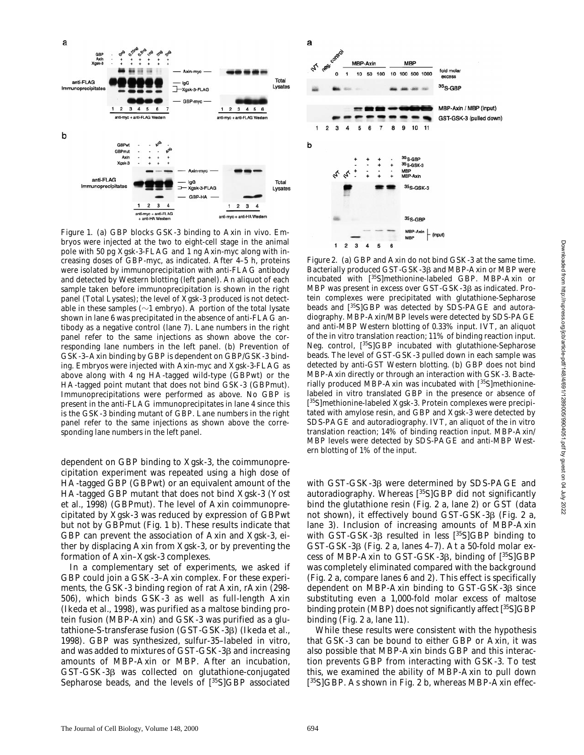

*Figure 1.* (a) GBP blocks GSK-3 binding to Axin in vivo. Embryos were injected at the two to eight-cell stage in the animal pole with 50 pg *Xgsk-3-FLAG* and 1 ng *Axin-myc* along with increasing doses of *GBP-myc*, as indicated. After 4–5 h, proteins were isolated by immunoprecipitation with anti-FLAG antibody and detected by Western blotting (left panel). An aliquot of each sample taken before immunoprecipitation is shown in the right panel (Total Lysates); the level of Xgsk-3 produced is not detectable in these samples ( $\sim$ 1 embryo). A portion of the total lysate shown in lane 6 was precipitated in the absence of anti-FLAG antibody as a negative control (lane 7). Lane numbers in the right panel refer to the same injections as shown above the corresponding lane numbers in the left panel. (b) Prevention of GSK-3–Axin binding by GBP is dependent on GBP/GSK-3 binding. Embryos were injected with *Axin-myc* and *Xgsk-3-FLAG* as above along with 4 ng HA-tagged wild-type (GBPwt) or the HA-tagged point mutant that does not bind GSK-3 (GBPmut). Immunoprecipitations were performed as above. No GBP is present in the anti-FLAG immunoprecipitates in lane 4 since this is the GSK-3 binding mutant of GBP. Lane numbers in the right panel refer to the same injections as shown above the corresponding lane numbers in the left panel.

dependent on GBP binding to Xgsk-3, the coimmunoprecipitation experiment was repeated using a high dose of HA-tagged GBP (GBPwt) or an equivalent amount of the HA-tagged GBP mutant that does not bind Xgsk-3 (Yost et al., 1998) (GBPmut). The level of Axin coimmunoprecipitated by Xgsk-3 was reduced by expression of GBPwt but not by GBPmut (Fig. 1 b). These results indicate that GBP can prevent the association of Axin and Xgsk-3, either by displacing Axin from Xgsk-3, or by preventing the formation of Axin–Xgsk-3 complexes.

In a complementary set of experiments, we asked if GBP could join a GSK-3–Axin complex. For these experiments, the GSK-3 binding region of rat Axin, rAxin (298- 506), which binds GSK-3 as well as full-length Axin (Ikeda et al., 1998), was purified as a maltose binding protein fusion (MBP-Axin) and GSK-3 was purified as a glutathione-S-transferase fusion (GST-GSK-3 $\beta$ ) (Ikeda et al., 1998). GBP was synthesized, sulfur-35–labeled in vitro, and was added to mixtures of GST-GSK-3<sub>β</sub> and increasing amounts of MBP-Axin or MBP. After an incubation, GST-GSK-3b was collected on glutathione-conjugated Sepharose beads, and the levels of  $[^{35}S]GBP$  associated



*Figure 2.* (a) GBP and Axin do not bind GSK-3 at the same time. Bacterially produced GST-GSK-3ß and MBP-Axin or MBP were incubated with [35S]methionine-labeled GBP. MBP-Axin or MBP was present in excess over GST-GSK-3ß as indicated. Protein complexes were precipitated with glutathione-Sepharose beads and [35S]GBP was detected by SDS-PAGE and autoradiography. MBP-Axin/MBP levels were detected by SDS-PAGE and anti-MBP Western blotting of 0.33% input. IVT, an aliquot of the in vitro translation reaction; 11% of binding reaction input. Neg. control, [ 35S]GBP incubated with glutathione-Sepharose beads. The level of GST-GSK-3 pulled down in each sample was detected by anti-GST Western blotting. (b) GBP does not bind MBP-Axin directly or through an interaction with GSK-3. Bacterially produced MBP-Axin was incubated with [35S]methioninelabeled in vitro translated GBP in the presence or absence of [<sup>35</sup>S]methionine-labeled Xgsk-3. Protein complexes were precipitated with amylose resin, and GBP and Xgsk-3 were detected by SDS-PAGE and autoradiography. IVT, an aliquot of the in vitro translation reaction; 14% of binding reaction input. MBP-Axin/ MBP levels were detected by SDS-PAGE and anti-MBP Western blotting of 1% of the input.

with GST-GSK-3ß were determined by SDS-PAGE and autoradiography. Whereas [<sup>35</sup>S]GBP did not significantly bind the glutathione resin (Fig. 2 a, lane 2) or GST (data not shown), it effectively bound GST-GSK-3 $\beta$  (Fig. 2 a, lane 3). Inclusion of increasing amounts of MBP-Axin with GST-GSK-3 $\beta$  resulted in less [35S]GBP binding to  $GST-GSK-3\beta$  (Fig. 2 a, lanes 4–7). At a 50-fold molar excess of MBP-Axin to GST-GSK-3b, binding of [35S]GBP was completely eliminated compared with the background (Fig. 2 a, compare lanes 6 and 2). This effect is specifically dependent on MBP-Axin binding to  $GST-GSK-3\beta$  since substituting even a 1,000-fold molar excess of maltose binding protein (MBP) does not significantly affect [<sup>35</sup>S]GBP binding (Fig. 2 a, lane 11).

While these results were consistent with the hypothesis that GSK-3 can be bound to either GBP or Axin, it was also possible that MBP-Axin binds GBP and this interaction prevents GBP from interacting with GSK-3. To test this, we examined the ability of MBP-Axin to pull down [ 35S]GBP. As shown in Fig. 2 b, whereas MBP-Axin effec-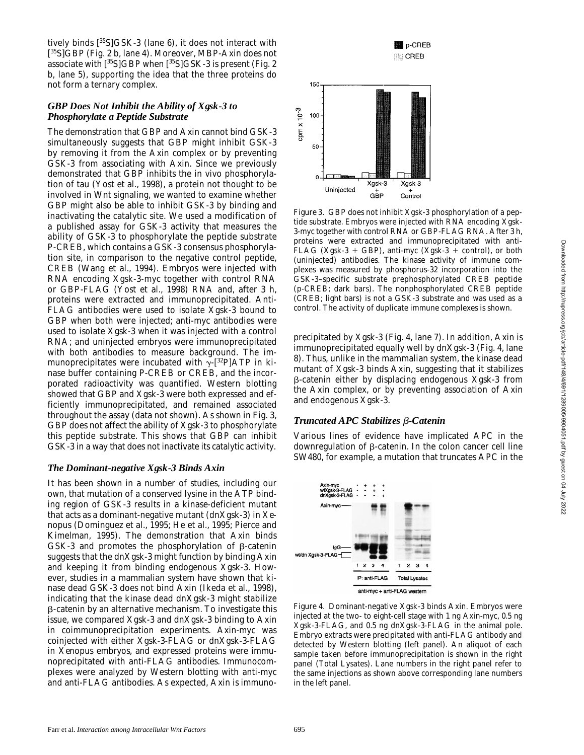tively binds  $[^{35}S]$ GSK-3 (lane 6), it does not interact with [ 35S]GBP (Fig. 2 b, lane 4). Moreover, MBP-Axin does not associate with  $[35S]$ GBP when  $[35S]$ GSK-3 is present (Fig. 2) b, lane 5), supporting the idea that the three proteins do not form a ternary complex.

## *GBP Does Not Inhibit the Ability of Xgsk-3 to Phosphorylate a Peptide Substrate*

The demonstration that GBP and Axin cannot bind GSK-3 simultaneously suggests that GBP might inhibit GSK-3 by removing it from the Axin complex or by preventing GSK-3 from associating with Axin. Since we previously demonstrated that GBP inhibits the in vivo phosphorylation of tau (Yost et al., 1998), a protein not thought to be involved in Wnt signaling, we wanted to examine whether GBP might also be able to inhibit GSK-3 by binding and inactivating the catalytic site. We used a modification of a published assay for GSK-3 activity that measures the ability of GSK-3 to phosphorylate the peptide substrate P-CREB, which contains a GSK-3 consensus phosphorylation site, in comparison to the negative control peptide, CREB (Wang et al., 1994). Embryos were injected with RNA encoding *Xgsk-3-myc* together with control RNA or *GBP-FLAG* (Yost et al., 1998) RNA and, after 3 h, proteins were extracted and immunoprecipitated. Anti-FLAG antibodies were used to isolate Xgsk-3 bound to GBP when both were injected; anti-myc antibodies were used to isolate Xgsk-3 when it was injected with a control RNA; and uninjected embryos were immunoprecipitated with both antibodies to measure background. The immunoprecipitates were incubated with  $\gamma$ -[<sup>32</sup>P]ATP in kinase buffer containing P-CREB or CREB, and the incorporated radioactivity was quantified. Western blotting showed that GBP and Xgsk-3 were both expressed and efficiently immunoprecipitated, and remained associated throughout the assay (data not shown). As shown in Fig. 3, GBP does not affect the ability of Xgsk-3 to phosphorylate this peptide substrate. This shows that GBP can inhibit GSK-3 in a way that does not inactivate its catalytic activity.

## *The Dominant-negative Xgsk-3 Binds Axin*

It has been shown in a number of studies, including our own, that mutation of a conserved lysine in the ATP binding region of GSK-3 results in a kinase-deficient mutant that acts as a dominant-negative mutant (dnXgsk-3) in *Xenopus* (Dominguez et al., 1995; He et al., 1995; Pierce and Kimelman, 1995). The demonstration that Axin binds GSK-3 and promotes the phosphorylation of  $\beta$ -catenin suggests that the dnXgsk-3 might function by binding Axin and keeping it from binding endogenous Xgsk-3. However, studies in a mammalian system have shown that kinase dead GSK-3 does not bind Axin (Ikeda et al., 1998), indicating that the kinase dead dnXgsk-3 might stabilize  $\beta$ -catenin by an alternative mechanism. To investigate this issue, we compared Xgsk-3 and dnXgsk-3 binding to Axin in coimmunoprecipitation experiments. *Axin-myc* was coinjected with either *Xgsk-3-FLAG* or *dnXgsk-3-FLAG* in *Xenopus* embryos, and expressed proteins were immunoprecipitated with anti-FLAG antibodies. Immunocomplexes were analyzed by Western blotting with anti-myc and anti-FLAG antibodies. As expected, Axin is immuno-



*Figure 3.* GBP does not inhibit Xgsk-3 phosphorylation of a peptide substrate. Embryos were injected with RNA encoding *Xgsk-3-myc* together with control RNA or *GBP-FLAG* RNA. After 3 h, proteins were extracted and immunoprecipitated with anti-FLAG (Xgsk-3 + GBP), anti-myc (Xgsk-3 + control), or both (uninjected) antibodies. The kinase activity of immune complexes was measured by phosphorus-32 incorporation into the GSK-3–specific substrate prephosphorylated CREB peptide (p-CREB; dark bars). The nonphosphorylated CREB peptide (CREB; light bars) is not a GSK-3 substrate and was used as a control. The activity of duplicate immune complexes is shown.

precipitated by Xgsk-3 (Fig. 4, lane 7). In addition, Axin is immunoprecipitated equally well by dnXgsk-3 (Fig. 4, lane 8). Thus, unlike in the mammalian system, the kinase dead mutant of Xgsk-3 binds Axin, suggesting that it stabilizes b-catenin either by displacing endogenous Xgsk-3 from the Axin complex, or by preventing association of Axin and endogenous Xgsk-3.

#### *Truncated APC Stabilizes* b*-Catenin*

Various lines of evidence have implicated APC in the downregulation of  $\beta$ -catenin. In the colon cancer cell line SW480, for example, a mutation that truncates APC in the



*Figure 4.* Dominant-negative Xgsk-3 binds Axin. Embryos were injected at the two- to eight-cell stage with 1 ng *Axin-myc*, 0.5 ng *Xgsk-3-FLAG*, and 0.5 ng *dnXgsk-3-FLAG* in the animal pole. Embryo extracts were precipitated with anti-FLAG antibody and detected by Western blotting (left panel). An aliquot of each sample taken before immunoprecipitation is shown in the right panel (Total Lysates). Lane numbers in the right panel refer to the same injections as shown above corresponding lane numbers in the left panel.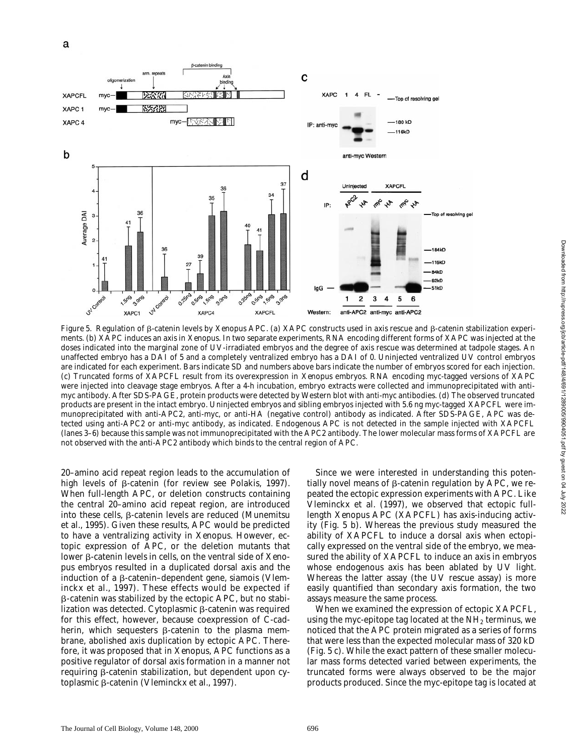

*Figure 5.* Regulation of β-catenin levels by Xenopus APC. (a) XAPC constructs used in axis rescue and β-catenin stabilization experiments. (b) XAPC induces an axis in *Xenopus*. In two separate experiments, RNA encoding different forms of XAPC was injected at the doses indicated into the marginal zone of UV-irradiated embryos and the degree of axis rescue was determined at tadpole stages. An unaffected embryo has a DAI of 5 and a completely ventralized embryo has a DAI of 0. Uninjected ventralized UV control embryos are indicated for each experiment. Bars indicate SD and numbers above bars indicate the number of embryos scored for each injection. (c) Truncated forms of XAPCFL result from its overexpression in *Xenopus* embryos. RNA encoding myc-tagged versions of XAPC were injected into cleavage stage embryos. After a 4-h incubation, embryo extracts were collected and immunoprecipitated with antimyc antibody. After SDS-PAGE, protein products were detected by Western blot with anti-myc antibodies. (d) The observed truncated products are present in the intact embryo. Uninjected embryos and sibling embryos injected with 5.6 ng myc-tagged *XAPCFL* were immunoprecipitated with anti-APC2, anti-myc, or anti-HA (negative control) antibody as indicated. After SDS-PAGE, APC was detected using anti-APC2 or anti-myc antibody, as indicated. Endogenous APC is not detected in the sample injected with XAPCFL (lanes 3–6) because this sample was not immunoprecipitated with the APC2 antibody. The lower molecular mass forms of XAPCFL are not observed with the anti-APC2 antibody which binds to the central region of APC.

20–amino acid repeat region leads to the accumulation of high levels of  $\beta$ -catenin (for review see Polakis, 1997). When full-length APC, or deletion constructs containing the central 20–amino acid repeat region, are introduced into these cells,  $\beta$ -catenin levels are reduced (Munemitsu et al., 1995). Given these results, APC would be predicted to have a ventralizing activity in *Xenopus*. However, ectopic expression of APC, or the deletion mutants that lower β-catenin levels in cells, on the ventral side of *Xenopus* embryos resulted in a duplicated dorsal axis and the induction of a b-catenin–dependent gene, *siamois* (Vleminckx et al., 1997). These effects would be expected if b-catenin was stabilized by the ectopic APC, but no stabilization was detected. Cytoplasmic  $\beta$ -catenin was required for this effect, however, because coexpression of C-cadherin, which sequesters  $\beta$ -catenin to the plasma membrane, abolished axis duplication by ectopic APC. Therefore, it was proposed that in *Xenopus*, APC functions as a positive regulator of dorsal axis formation in a manner not requiring  $\beta$ -catenin stabilization, but dependent upon cytoplasmic β-catenin (Vleminckx et al., 1997).

Since we were interested in understanding this potentially novel means of  $\beta$ -catenin regulation by APC, we repeated the ectopic expression experiments with APC. Like Vleminckx et al. (1997), we observed that ectopic fulllength *Xenopus* APC (XAPCFL) has axis-inducing activity (Fig. 5 b). Whereas the previous study measured the ability of XAPCFL to induce a dorsal axis when ectopically expressed on the ventral side of the embryo, we measured the ability of XAPCFL to induce an axis in embryos whose endogenous axis has been ablated by UV light. Whereas the latter assay (the UV rescue assay) is more easily quantified than secondary axis formation, the two assays measure the same process.

When we examined the expression of ectopic XAPCFL, using the myc-epitope tag located at the  $NH<sub>2</sub>$  terminus, we noticed that the APC protein migrated as a series of forms that were less than the expected molecular mass of 320 kD (Fig. 5 c). While the exact pattern of these smaller molecular mass forms detected varied between experiments, the truncated forms were always observed to be the major products produced. Since the myc-epitope tag is located at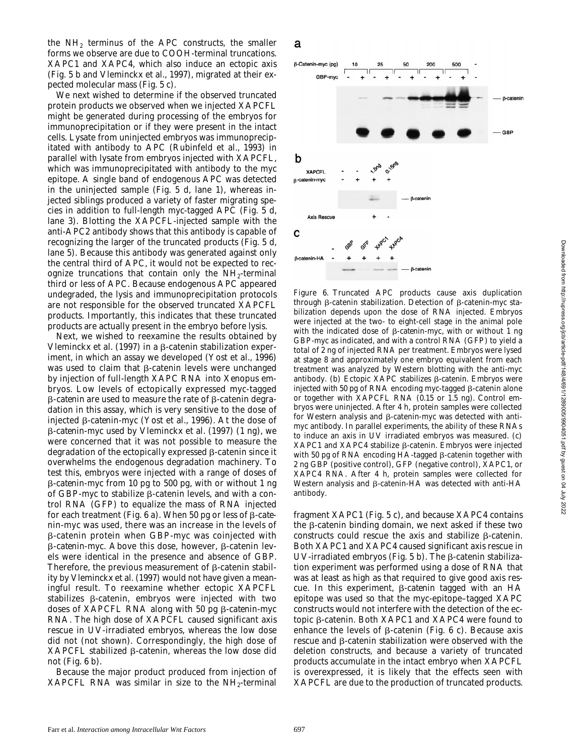the  $NH<sub>2</sub>$  terminus of the APC constructs, the smaller forms we observe are due to COOH-terminal truncations. XAPC1 and XAPC4, which also induce an ectopic axis (Fig. 5 b and Vleminckx et al., 1997), migrated at their expected molecular mass (Fig. 5 c).

We next wished to determine if the observed truncated protein products we observed when we injected XAPCFL might be generated during processing of the embryos for immunoprecipitation or if they were present in the intact cells. Lysate from uninjected embryos was immunoprecipitated with antibody to APC (Rubinfeld et al., 1993) in parallel with lysate from embryos injected with XAPCFL, which was immunoprecipitated with antibody to the myc epitope. A single band of endogenous APC was detected in the uninjected sample (Fig. 5 d, lane 1), whereas injected siblings produced a variety of faster migrating species in addition to full-length myc-tagged APC (Fig. 5 d, lane 3). Blotting the XAPCFL-injected sample with the anti-APC2 antibody shows that this antibody is capable of recognizing the larger of the truncated products (Fig. 5 d, lane 5). Because this antibody was generated against only the central third of APC, it would not be expected to recognize truncations that contain only the  $NH<sub>2</sub>$ -terminal third or less of APC. Because endogenous APC appeared undegraded, the lysis and immunoprecipitation protocols are not responsible for the observed truncated XAPCFL products. Importantly, this indicates that these truncated products are actually present in the embryo before lysis.

Next, we wished to reexamine the results obtained by Vleminckx et al. (1997) in a  $\beta$ -catenin stabilization experiment, in which an assay we developed (Yost et al., 1996) was used to claim that  $\beta$ -catenin levels were unchanged by injection of full-length *XAPC* RNA into *Xenopus* embryos. Low levels of ectopically expressed myc-tagged β-*catenin* are used to measure the rate of β-catenin degradation in this assay, which is very sensitive to the dose of injected b*-catenin-myc* (Yost et al., 1996). At the dose of b*-catenin-myc* used by Vleminckx et al. (1997) (1 ng), we were concerned that it was not possible to measure the degradation of the ectopically expressed  $\beta$ -catenin since it overwhelms the endogenous degradation machinery. To test this, embryos were injected with a range of doses of b*-catenin-myc* from 10 pg to 500 pg, with or without 1 ng of  $GBP\text{-}myc$  to stabilize  $\beta$ -catenin levels, and with a control RNA (*GFP*) to equalize the mass of RNA injected for each treatment (Fig.  $6$  a). When  $50$  pg or less of  $\beta$ -*catenin-myc* was used, there was an increase in the levels of b-catenin protein when *GBP-myc* was coinjected with  $β$ -*catenin-myc*. Above this dose, however, β-catenin levels were identical in the presence and absence of GBP. Therefore, the previous measurement of  $\beta$ -catenin stability by Vleminckx et al. (1997) would not have given a meaningful result. To reexamine whether ectopic XAPCFL stabilizes  $\beta$ -catenin, embryos were injected with two doses of *XAPCFL* RNA along with 50 pg b*-catenin-myc* RNA. The high dose of XAPCFL caused significant axis rescue in UV-irradiated embryos, whereas the low dose did not (not shown). Correspondingly, the high dose of  $XAPCFL$  stabilized  $\beta$ -catenin, whereas the low dose did not (Fig. 6 b).

Because the major product produced from injection of *XAPCFL* RNA was similar in size to the  $NH_2$ -terminal





*Figure 6.* Truncated APC products cause axis duplication through  $\beta$ -catenin stabilization. Detection of  $\beta$ -catenin-myc stabilization depends upon the dose of RNA injected. Embryos were injected at the two- to eight-cell stage in the animal pole with the indicated dose of  $\beta$ -catenin-myc, with or without 1 ng *GBP-myc* as indicated, and with a control RNA (*GFP*) to yield a total of 2 ng of injected RNA per treatment. Embryos were lysed at stage 8 and approximately one embryo equivalent from each treatment was analyzed by Western blotting with the anti-myc antibody. (b) Ectopic XAPC stabilizes  $\beta$ -catenin. Embryos were injected with 50 pg of RNA encoding myc-tagged  $\beta$ -catenin alone or together with *XAPCFL* RNA (0.15 or 1.5 ng). Control embryos were uninjected. After 4 h, protein samples were collected for Western analysis and  $\beta$ -catenin-myc was detected with antimyc antibody. In parallel experiments, the ability of these RNAs to induce an axis in UV irradiated embryos was measured. (c)  $XAPC1$  and  $XAPC4$  stabilize  $\beta$ -catenin. Embryos were injected with 50 pg of RNA encoding HA-tagged  $\beta$ -catenin together with 2 ng *GBP* (positive control), *GFP* (negative control), *XAPC1*, or *XAPC4* RNA. After 4 h, protein samples were collected for Western analysis and  $\beta$ -catenin-HA was detected with anti-HA antibody.

fragment XAPC1 (Fig. 5 c), and because XAPC4 contains the  $\beta$ -catenin binding domain, we next asked if these two constructs could rescue the axis and stabilize  $\beta$ -catenin. Both XAPC1 and XAPC4 caused significant axis rescue in UV-irradiated embryos (Fig.  $5$  b). The  $\beta$ -catenin stabilization experiment was performed using a dose of RNA that was at least as high as that required to give good axis rescue. In this experiment, b*-catenin* tagged with an HA epitope was used so that the myc-epitope–tagged XAPC constructs would not interfere with the detection of the ectopic b-catenin. Both XAPC1 and XAPC4 were found to enhance the levels of  $\beta$ -catenin (Fig. 6 c). Because axis  $r$ escue and  $\beta$ -catenin stabilization were observed with the deletion constructs, and because a variety of truncated products accumulate in the intact embryo when XAPCFL is overexpressed, it is likely that the effects seen with XAPCFL are due to the production of truncated products.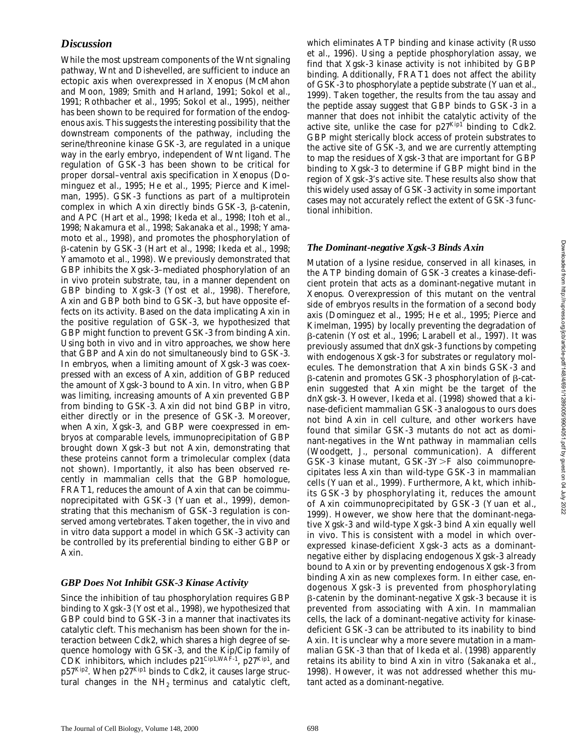# *Discussion*

While the most upstream components of the Wnt signaling pathway, Wnt and Dishevelled, are sufficient to induce an ectopic axis when overexpressed in *Xenopus* (McMahon and Moon, 1989; Smith and Harland, 1991; Sokol et al., 1991; Rothbacher et al., 1995; Sokol et al., 1995), neither has been shown to be required for formation of the endogenous axis. This suggests the interesting possibility that the downstream components of the pathway, including the serine/threonine kinase GSK-3, are regulated in a unique way in the early embryo, independent of Wnt ligand. The regulation of GSK-3 has been shown to be critical for proper dorsal–ventral axis specification in *Xenopus* (Dominguez et al., 1995; He et al., 1995; Pierce and Kimelman, 1995). GSK-3 functions as part of a multiprotein complex in which Axin directly binds GSK-3, b-catenin, and APC (Hart et al., 1998; Ikeda et al., 1998; Itoh et al., 1998; Nakamura et al., 1998; Sakanaka et al., 1998; Yamamoto et al., 1998), and promotes the phosphorylation of b-catenin by GSK-3 (Hart et al., 1998; Ikeda et al., 1998; Yamamoto et al., 1998). We previously demonstrated that GBP inhibits the Xgsk-3–mediated phosphorylation of an in vivo protein substrate, tau, in a manner dependent on GBP binding to Xgsk-3 (Yost et al., 1998). Therefore, Axin and GBP both bind to GSK-3, but have opposite effects on its activity. Based on the data implicating Axin in the positive regulation of GSK-3, we hypothesized that GBP might function to prevent GSK-3 from binding Axin. Using both in vivo and in vitro approaches, we show here that GBP and Axin do not simultaneously bind to GSK-3. In embryos, when a limiting amount of Xgsk-3 was coexpressed with an excess of Axin, addition of GBP reduced the amount of Xgsk-3 bound to Axin. In vitro, when GBP was limiting, increasing amounts of Axin prevented GBP from binding to GSK-3. Axin did not bind GBP in vitro, either directly or in the presence of GSK-3. Moreover, when Axin, Xgsk-3, and GBP were coexpressed in embryos at comparable levels, immunoprecipitation of GBP brought down Xgsk-3 but not Axin, demonstrating that these proteins cannot form a trimolecular complex (data not shown). Importantly, it also has been observed recently in mammalian cells that the GBP homologue, FRAT1, reduces the amount of Axin that can be coimmunoprecipitated with GSK-3 (Yuan et al., 1999), demonstrating that this mechanism of GSK-3 regulation is conserved among vertebrates. Taken together, the in vivo and in vitro data support a model in which GSK-3 activity can be controlled by its preferential binding to either GBP or Axin.

# *GBP Does Not Inhibit GSK-3 Kinase Activity*

Since the inhibition of tau phosphorylation requires GBP binding to Xgsk-3 (Yost et al., 1998), we hypothesized that GBP could bind to GSK-3 in a manner that inactivates its catalytic cleft. This mechanism has been shown for the interaction between Cdk2, which shares a high degree of sequence homology with GSK-3, and the Kip/Cip family of CDK inhibitors, which includes  $p21^{\text{Cip1,WAF-1}}$ ,  $p27^{\text{Kip1}}$ , and p57Kip2. When p27Kip1 binds to Cdk2, it causes large structural changes in the  $NH<sub>2</sub>$  terminus and catalytic cleft,

which eliminates ATP binding and kinase activity (Russo et al., 1996). Using a peptide phosphorylation assay, we find that Xgsk-3 kinase activity is not inhibited by GBP binding. Additionally, FRAT1 does not affect the ability of GSK-3 to phosphorylate a peptide substrate (Yuan et al., 1999). Taken together, the results from the tau assay and the peptide assay suggest that GBP binds to GSK-3 in a manner that does not inhibit the catalytic activity of the active site, unlike the case for  $p27^{Kip1}$  binding to Cdk2. GBP might sterically block access of protein substrates to the active site of GSK-3, and we are currently attempting to map the residues of Xgsk-3 that are important for GBP binding to Xgsk-3 to determine if GBP might bind in the region of Xgsk-3's active site. These results also show that this widely used assay of GSK-3 activity in some important cases may not accurately reflect the extent of GSK-3 functional inhibition.

# *The Dominant-negative Xgsk-3 Binds Axin*

Mutation of a lysine residue, conserved in all kinases, in the ATP binding domain of GSK-3 creates a kinase-deficient protein that acts as a dominant-negative mutant in *Xenopus*. Overexpression of this mutant on the ventral side of embryos results in the formation of a second body axis (Dominguez et al., 1995; He et al., 1995; Pierce and Kimelman, 1995) by locally preventing the degradation of b-catenin (Yost et al., 1996; Larabell et al., 1997). It was previously assumed that dnXgsk-3 functions by competing with endogenous Xgsk-3 for substrates or regulatory molecules. The demonstration that Axin binds GSK-3 and  $\beta$ -catenin and promotes GSK-3 phosphorylation of  $\beta$ -catenin suggested that Axin might be the target of the dnXgsk-3. However, Ikeda et al. (1998) showed that a kinase-deficient mammalian GSK-3 analogous to ours does not bind Axin in cell culture, and other workers have found that similar GSK-3 mutants do not act as dominant-negatives in the Wnt pathway in mammalian cells (Woodgett, J., personal communication). A different  $GSK-3$  kinase mutant,  $GSK-3Y>F$  also coimmunoprecipitates less Axin than wild-type GSK-3 in mammalian cells (Yuan et al., 1999). Furthermore, Akt, which inhibits GSK-3 by phosphorylating it, reduces the amount of Axin coimmunoprecipitated by GSK-3 (Yuan et al., 1999). However, we show here that the dominant-negative Xgsk-3 and wild-type Xgsk-3 bind Axin equally well in vivo. This is consistent with a model in which overexpressed kinase-deficient Xgsk-3 acts as a dominantnegative either by displacing endogenous Xgsk-3 already bound to Axin or by preventing endogenous Xgsk-3 from binding Axin as new complexes form. In either case, endogenous Xgsk-3 is prevented from phosphorylating b-catenin by the dominant-negative Xgsk-3 because it is prevented from associating with Axin. In mammalian cells, the lack of a dominant-negative activity for kinasedeficient GSK-3 can be attributed to its inability to bind Axin. It is unclear why a more severe mutation in a mammalian GSK-3 than that of Ikeda et al. (1998) apparently retains its ability to bind Axin in vitro (Sakanaka et al., 1998). However, it was not addressed whether this mutant acted as a dominant-negative.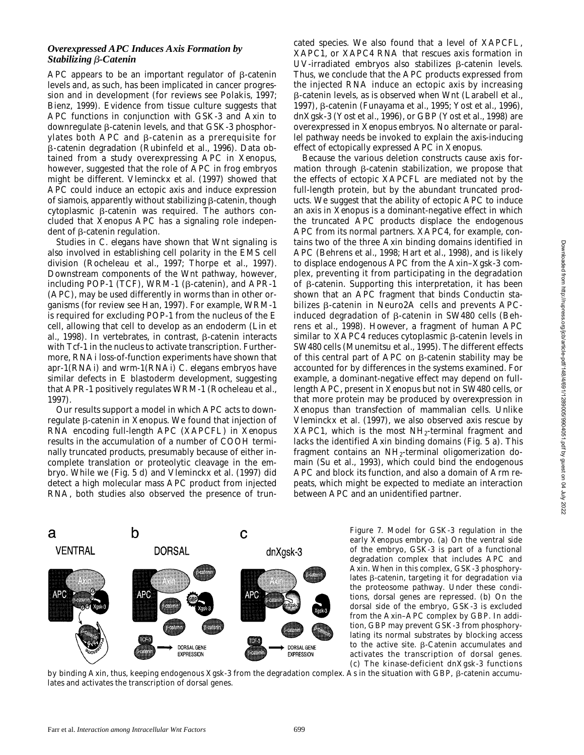# *Overexpressed APC Induces Axis Formation by Stabilizing* b*-Catenin*

APC appears to be an important regulator of  $\beta$ -catenin levels and, as such, has been implicated in cancer progression and in development (for reviews see Polakis, 1997; Bienz, 1999). Evidence from tissue culture suggests that APC functions in conjunction with GSK-3 and Axin to downregulate  $\beta$ -catenin levels, and that GSK-3 phosphorylates both APC and  $\beta$ -catenin as a prerequisite for b-catenin degradation (Rubinfeld et al., 1996). Data obtained from a study overexpressing APC in *Xenopus*, however, suggested that the role of APC in frog embryos might be different. Vleminckx et al. (1997) showed that APC could induce an ectopic axis and induce expression of *siamois*, apparently without stabilizing  $\beta$ -catenin, though cytoplasmic  $\beta$ -catenin was required. The authors concluded that *Xenopus* APC has a signaling role independent of  $\beta$ -catenin regulation.

Studies in *C*. *elegans* have shown that Wnt signaling is also involved in establishing cell polarity in the EMS cell division (Rocheleau et al., 1997; Thorpe et al., 1997). Downstream components of the Wnt pathway, however, including POP-1 (TCF), WRM-1 ( $\beta$ -catenin), and APR-1 (APC), may be used differently in worms than in other organisms (for review see Han, 1997). For example, WRM-1 is required for excluding POP-1 from the nucleus of the E cell, allowing that cell to develop as an endoderm (Lin et al., 1998). In vertebrates, in contrast,  $\beta$ -catenin interacts with Tcf-1 in the nucleus to activate transcription. Furthermore, RNAi loss-of-function experiments have shown that *apr-1*(RNAi) and *wrm-1*(RNAi) *C*. *elegans* embryos have similar defects in E blastoderm development, suggesting that APR-1 positively regulates WRM-1 (Rocheleau et al., 1997).

Our results support a model in which APC acts to downregulate b-catenin in *Xenopus*. We found that injection of RNA encoding full-length *APC* (*XAPCFL*) in *Xenopus* results in the accumulation of a number of COOH terminally truncated products, presumably because of either incomplete translation or proteolytic cleavage in the embryo. While we (Fig. 5 d) and Vleminckx et al. (1997) did detect a high molecular mass APC product from injected RNA, both studies also observed the presence of trun-

cated species. We also found that a level of *XAPCFL*, *XAPC1*, or *XAPC4* RNA that rescues axis formation in UV-irradiated embryos also stabilizes  $\beta$ -catenin levels. Thus, we conclude that the APC products expressed from the injected RNA induce an ectopic axis by increasing b-catenin levels, as is observed when Wnt (Larabell et al., 1997),  $\beta$ -catenin (Funayama et al., 1995; Yost et al., 1996), dnXgsk-3 (Yost et al., 1996), or GBP (Yost et al., 1998) are overexpressed in *Xenopus* embryos. No alternate or parallel pathway needs be invoked to explain the axis-inducing effect of ectopically expressed APC in *Xenopus*.

Because the various deletion constructs cause axis formation through  $\beta$ -catenin stabilization, we propose that the effects of ectopic XAPCFL are mediated not by the full-length protein, but by the abundant truncated products. We suggest that the ability of ectopic APC to induce an axis in *Xenopus* is a dominant-negative effect in which the truncated APC products displace the endogenous APC from its normal partners. XAPC4, for example, contains two of the three Axin binding domains identified in APC (Behrens et al., 1998; Hart et al., 1998), and is likely to displace endogenous APC from the Axin–Xgsk-3 complex, preventing it from participating in the degradation of b-catenin. Supporting this interpretation, it has been shown that an APC fragment that binds Conductin stabilizes b-catenin in Neuro2A cells and prevents APCinduced degradation of  $\beta$ -catenin in SW480 cells (Behrens et al., 1998). However, a fragment of human APC similar to  $XAPC4$  reduces cytoplasmic  $\beta$ -catenin levels in SW480 cells (Munemitsu et al., 1995). The different effects of this central part of APC on  $\beta$ -catenin stability may be accounted for by differences in the systems examined. For example, a dominant-negative effect may depend on fulllength APC, present in *Xenopus* but not in SW480 cells, or that more protein may be produced by overexpression in *Xenopus* than transfection of mammalian cells. Unlike Vleminckx et al. (1997), we also observed axis rescue by XAPC1, which is the most  $NH<sub>2</sub>$ -terminal fragment and lacks the identified Axin binding domains (Fig. 5 a). This fragment contains an NH<sub>2</sub>-terminal oligomerization domain (Su et al., 1993), which could bind the endogenous APC and block its function, and also a domain of Arm repeats, which might be expected to mediate an interaction between APC and an unidentified partner.



*Figure 7.* Model for GSK-3 regulation in the early *Xenopus* embryo. (a) On the ventral side of the embryo, GSK-3 is part of a functional degradation complex that includes APC and Axin. When in this complex, GSK-3 phosphorylates  $\beta$ -catenin, targeting it for degradation via the proteosome pathway. Under these conditions, dorsal genes are repressed. (b) On the dorsal side of the embryo, GSK-3 is excluded from the Axin–APC complex by GBP. In addition, GBP may prevent GSK-3 from phosphorylating its normal substrates by blocking access to the active site.  $\beta$ -Catenin accumulates and activates the transcription of dorsal genes. (c) The kinase-deficient dnXgsk-3 functions

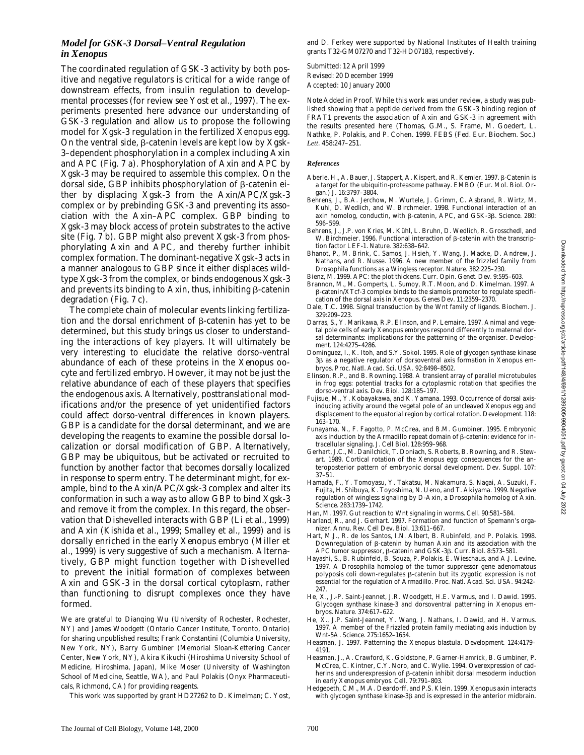# *Model for GSK-3 Dorsal–Ventral Regulation in Xenopus*

The coordinated regulation of GSK-3 activity by both positive and negative regulators is critical for a wide range of downstream effects, from insulin regulation to developmental processes (for review see Yost et al., 1997). The experiments presented here advance our understanding of GSK-3 regulation and allow us to propose the following model for Xgsk-3 regulation in the fertilized *Xenopus* egg. On the ventral side,  $\beta$ -catenin levels are kept low by Xgsk-3–dependent phosphorylation in a complex including Axin and APC (Fig. 7 a). Phosphorylation of Axin and APC by Xgsk-3 may be required to assemble this complex. On the dorsal side, GBP inhibits phosphorylation of  $\beta$ -catenin either by displacing Xgsk-3 from the Axin/APC/Xgsk-3 complex or by prebinding GSK-3 and preventing its association with the Axin–APC complex. GBP binding to Xgsk-3 may block access of protein substrates to the active site (Fig. 7 b). GBP might also prevent Xgsk-3 from phosphorylating Axin and APC, and thereby further inhibit complex formation. The dominant-negative Xgsk-3 acts in a manner analogous to GBP since it either displaces wildtype Xgsk-3 from the complex, or binds endogenous Xgsk-3 and prevents its binding to Axin, thus, inhibiting  $\beta$ -catenin degradation (Fig. 7 c).

The complete chain of molecular events linking fertilization and the dorsal enrichment of  $\beta$ -catenin has yet to be determined, but this study brings us closer to understanding the interactions of key players. It will ultimately be very interesting to elucidate the relative dorso-ventral abundance of each of these proteins in the *Xenopus* oocyte and fertilized embryo. However, it may not be just the relative abundance of each of these players that specifies the endogenous axis. Alternatively, posttranslational modifications and/or the presence of yet unidentified factors could affect dorso-ventral differences in known players. GBP is a candidate for the dorsal determinant, and we are developing the reagents to examine the possible dorsal localization or dorsal modification of GBP. Alternatively, GBP may be ubiquitous, but be activated or recruited to function by another factor that becomes dorsally localized in response to sperm entry. The determinant might, for example, bind to the Axin/APC/Xgsk-3 complex and alter its conformation in such a way as to allow GBP to bind Xgsk-3 and remove it from the complex. In this regard, the observation that Dishevelled interacts with GBP (Li et al., 1999) and Axin (Kishida et al., 1999; Smalley et al., 1999) and is dorsally enriched in the early *Xenopus* embryo (Miller et al., 1999) is very suggestive of such a mechanism. Alternatively, GBP might function together with Dishevelled to prevent the initial formation of complexes between Axin and GSK-3 in the dorsal cortical cytoplasm, rather than functioning to disrupt complexes once they have formed.

We are grateful to Dianqing Wu (University of Rochester, Rochester, NY) and James Woodgett (Ontario Cancer Institute, Toronto, Ontario) for sharing unpublished results; Frank Constantini (Columbia University, New York, NY), Barry Gumbiner (Memorial Sloan-Kettering Cancer Center, New York, NY), Akira Kikuchi (Hiroshima University School of Medicine, Hiroshima, Japan), Mike Moser (University of Washington School of Medicine, Seattle, WA), and Paul Polakis (Onyx Pharmaceuticals, Richmond, CA) for providing reagents.

This work was supported by grant HD27262 to D. Kimelman; C. Yost,

and D. Ferkey were supported by National Institutes of Health training grants T32-GM07270 and T32-HD07183, respectively.

Submitted: 12 April 1999 Revised: 20 December 1999 Accepted: 10 January 2000

*Note Added in Proof.* While this work was under review, a study was published showing that a peptide derived from the GSK-3 binding region of FRAT1 prevents the association of Axin and GSK-3 in agreement with the results presented here (Thomas, G.M., S. Frame, M. Goedert, L. Nathke, P. Polakis, and P. Cohen. 1999. *FEBS (Fed. Eur. Biochem. Soc*.*) Lett*. 458:247–251.

#### *References*

- Aberle, H., A. Bauer, J. Stappert, A. Kispert, and R. Kemler. 1997. ß-Catenin is a target for the ubiquitin-proteasome pathway. *EMBO (Eur. Mol. Biol. Organ.) J.* 16:3797–3804.
- Behrens, J., B.A. Jerchow, M. Wurtele, J. Grimm, C. Asbrand, R. Wirtz, M. Kuhl, D. Wedlich, and W. Birchmeier. 1998. Functional interaction of an axin homolog, conductin, with β-catenin, APC, and GSK-3β. *Science*. 280: 596–599.
- Behrens, J., J.P. von Kries, M. Kühl, L. Bruhn, D. Wedlich, R. Grosschedl, and W. Birchmeier. 1996. Functional interaction of  $\beta$ -catenin with the transcription factor LEF-1. *Nature*. 382:638–642.
- Bhanot, P., M. Brink, C. Samos, J. Hsieh, Y. Wang, J. Macke, D. Andrew, J. Nathans, and R. Nusse. 1996. A new member of the *frizzled* family from *Drosophila* functions as a Wingless receptor. *Nature*. 382:225–230.
- Bienz, M. 1999. APC: the plot thickens. *Curr. Opin. Genet. Dev*. 9:595–603.
- Brannon, M., M. Gomperts, L. Sumoy, R.T. Moon, and D. Kimelman. 1997. A b-catenin/XTcf-3 complex binds to the *siamois* promoter to regulate specification of the dorsal axis in *Xenopus*. *Genes Dev.* 11:2359–2370.
- Dale, T.C. 1998. Signal transduction by the Wnt family of ligands. *Biochem. J*. 329:209–223.
- Darras, S., Y. Marikawa, R.P. Elinson, and P. Lemaire. 1997. Animal and vegetal pole cells of early *Xenopus* embryos respond differently to maternal dorsal determinants: implications for the patterning of the organiser. *Development*. 124:4275–4286.
- Dominguez, I., K. Itoh, and S.Y. Sokol. 1995. Role of glycogen synthase kinase 3b as a negative regulator of dorsoventral axis formation in *Xenopus* embryos. *Proc. Natl. Acad. Sci. USA*. 92:8498–8502.
- Elinson, R.P., and B. Rowning. 1988. A transient array of parallel microtubules in frog eggs: potential tracks for a cytoplasmic rotation that specifies the dorso-ventral axis. *Dev. Biol.* 128:185–197.
- Fujisue, M., Y. Kobayakawa, and K. Yamana. 1993. Occurrence of dorsal axisinducing activity around the vegetal pole of an uncleaved *Xenopus* egg and displacement to the equatorial region by cortical rotation. *Development*. 118: 163–170.
- Funayama, N., F. Fagotto, P. McCrea, and B.M. Gumbiner. 1995. Embryonic axis induction by the Armadillo repeat domain of  $\beta$ -catenin: evidence for intracellular signaling. *J. Cell Biol.* 128:959–968.
- Gerhart, J.C., M. Danilchick, T. Doniach, S. Roberts, B. Rowning, and R. Stewart. 1989. Cortical rotation of the *Xenopus* egg: consequences for the anteroposterior pattern of embryonic dorsal development. *Dev. Suppl.* 107: 37–51.
- Hamada, F., Y. Tomoyasu, Y. Takatsu, M. Nakamura, S. Nagai, A. Suzuki, F. Fujita, H. Shibuya, K. Toyoshima, N. Ueno, and T. Akiyama. 1999. Negative regulation of wingless signaling by D-Axin, a *Drosophila* homolog of Axin. *Science*. 283:1739–1742.
- Han, M. 1997. Gut reaction to Wnt signaling in worms. *Cell*. 90:581–584.
- Harland, R., and J. Gerhart. 1997. Formation and function of Spemann's organizer. *Annu. Rev. Cell Dev. Biol.* 13:611–667.
- Hart, M.J., R. de los Santos, I.N. Albert, B. Rubinfeld, and P. Polakis. 1998. Downregulation of  $\beta$ -catenin by human Axin and its association with the APC tumor suppressor, β-catenin and GSK-3β. *Curr. Biol.* 8:573-581.
- Hayashi, S., B. Rubinfeld, B. Souza, P. Polakis, E. Wieschaus, and A.J. Levine. 1997. A *Drosophila* homolog of the tumor suppressor gene *adenomatous* polyposis coli down-regulates  $\beta$ -catenin but its zygotic expression is not essential for the regulation of Armadillo. *Proc. Natl. Acad. Sci. USA*. 94:242– 247.
- He, X., J.-P. Saint-Jeannet, J.R. Woodgett, H.E. Varmus, and I. Dawid. 1995. Glycogen synthase kinase-3 and dorsoventral patterning in *Xenopus* embryos. *Nature*. 374:617–622.
- He, X., J.P. Saint-Jeannet, Y. Wang, J. Nathans, I. Dawid, and H. Varmus. 1997. A member of the Frizzled protein family mediating axis induction by Wnt-5A. *Science*. 275:1652–1654.
- Heasman, J. 1997. Patterning the *Xenopus* blastula. *Development*. 124:4179– 4191.
- Heasman, J., A. Crawford, K. Goldstone, P. Garner-Hamrick, B. Gumbiner, P. McCrea, C. Kintner, C.Y. Noro, and C. Wylie. 1994. Overexpression of cadherins and underexpression of  $\beta$ -catenin inhibit dorsal mesoderm induction in early *Xenopus* embryos. *Cell*. 79:791–803.
- Hedgepeth, C.M., M.A. Deardorff, and P.S. Klein. 1999. *Xenopus* axin interacts with glycogen synthase kinase-3 $\beta$  and is expressed in the anterior midbrain.